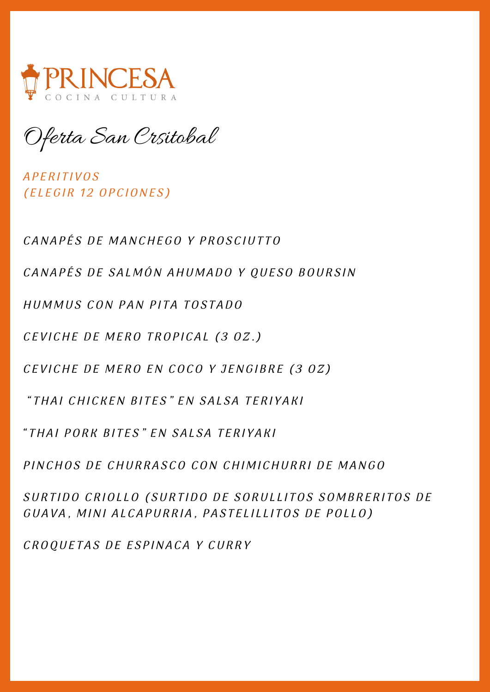

Oferta San Crsitobal

*APERITIVOS* (ELEGIR 12 OPCIONES)

CANAPÉS DE MANCHEGO Y PROSCIUTTO

CANAPÉS DE SALMÓN AHUMADO Y QUESO BOURSIN

HUMMUS CON PAN PITA TOSTADO

CEVICHE DE MERO TROPICAL (3 OZ.)

CEVICHE DE MERO EN COCO Y JENGIBRE (3 OZ)

" THAI CHICKEN BITES" EN SALSA TERIYAKI

" THAI PORK BITES" EN SALSA TERIYAKI

PINCHOS DE CHURRASCO CON CHIMICHURRI DE MANGO

SURTIDO CRIOLLO (SURTIDO DE SORULLITOS SOMBRERITOS DE GUAVA, MINI ALCAPURRIA, PASTELILLITOS DE POLLO)

CROQUETAS DE ESPINACA Y CURRY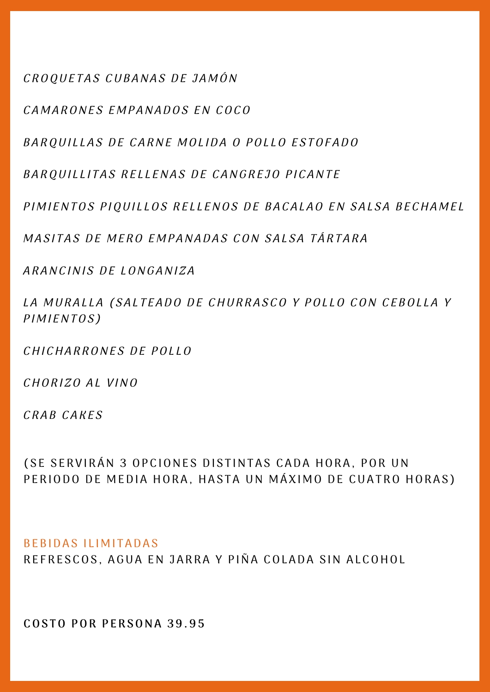CROQUETAS CUBANAS DE JAMÓN

CAMARONES EMPANADOS EN COCO

BARQUILLAS DE CARNE MOLIDA O POLLO ESTOFADO

BARQUILLITAS RELLENAS DE CANGREJO PICANTE

PIMIENTOS PIQUILLOS RELLENOS DE BACALAO EN SALSA BECHAMEL

MASITAS DE MERO EMPANADAS CON SALSA TÁRTARA

ARANCINIS DE LONGANIZA

LA MURALLA (SALTEADO DE CHURRASCO Y POLLO CON CEBOLLA Y P I M I ENTOS)

CHICHARRONES DE POLLO

CHORIZO AL VINO

CRAB CAKES

( SE SERVIRÁN 3 OPCIONES DISTINTAS CADA HORA, POR UN PERIODO DE MEDIA HORA, HASTA UN MÁXIMO DE CUATRO HORAS)

### BEBIDAS ILIMITADAS

REFRESCOS, AGUA EN JARRA Y PIÑA COLADA SIN ALCOHOL

**COS TO POR P ERSONA 3 9 . 9 5**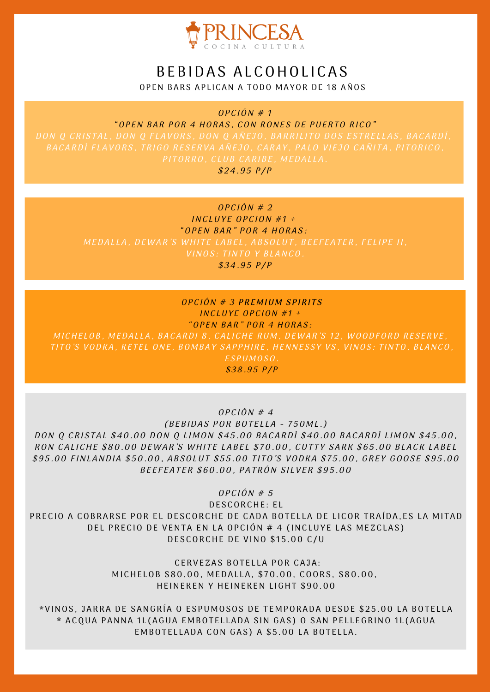

# BEBIDAS ALCOHOLICAS

OPEN BARS APLICAN A TODO MAYOR DE 18 AÑOS

 $OPCIÓN # 1$ 

"OPEN BAR POR 4 HORAS, CON RONES DE PUERTO RICO" PITORRO, CLUB CARIBE, MEDALLA.  $$24.95$  P/P

## $OPCIÓN # 2$

INCLUYE OPCION  $#1$  + "OPEN BAR" POR 4 HORAS:

 $$34.95 P/P$ 

### $OPCIÓN # 3 PREMIUM SPIRITS$ INCLUYE OPCION #1 + "OPEN BAR" POR 4 HORAS:

MICHELOB, MEDALLA, BACARDI 8, CALICHE RUM, DEWAR'S 12, WOODFORD RESERVE, TITO'S VODKA, KETEL ONE, BOMBAY SAPPHIRE, HENNESSY VS, VINOS: TINTO, BLANCO, ESPUMOSO.

 $$38.95 P/P$ 

 $OPCION \# 4$ 

 $(BEBIDAS POR BOTELLA - 750ML.)$ DON Q CRISTAL \$40.00 DON Q LIMON \$45.00 BACARDÍ \$40.00 BACARDÍ LIMON \$45.00, RON CALICHE \$80.00 DEWAR'S WHITE LABEL \$70.00, CUTTY SARK \$65.00 BLACK LABEL \$95.00 FINLANDIA \$50.00, ABSOLUT \$55.00 TITO'S VODKA \$75.00, GREY GOOSE \$95.00 BEEFEATER \$60.00, PATRÓN SILVER \$95.00

 $OPCION \# 5$ 

DESCORCHE: EL PRECIO A COBRARSE POR EL DESCORCHE DE CADA BOTELLA DE LICOR TRAÍDA, ES LA MITAD DEL PRECIO DE VENTA EN LA OPCIÓN # 4 (INCLUYE LAS MEZCLAS) DESCORCHE DE VINO \$15.00 C/U

> CERVEZAS BOTELLA POR CAJA: MICHELOB \$80.00, MEDALLA, \$70.00, COORS, \$80.00, HEINEKEN Y HEINEKEN LIGHT \$90.00

\* V INOS , J ARRA DE S ANGRÍ A O E S PU M OSOS DE T E M PORADA DE SDE \$ 2 5 .00 L A BOT E L L A \* ACQUA PANNA 1L(AGUA EMBOTELLADA SIN GAS) O SAN PELLEGRINO 1L(AGUA EMBOTELLADA CON GAS) A \$5.00 LA BOTELLA.